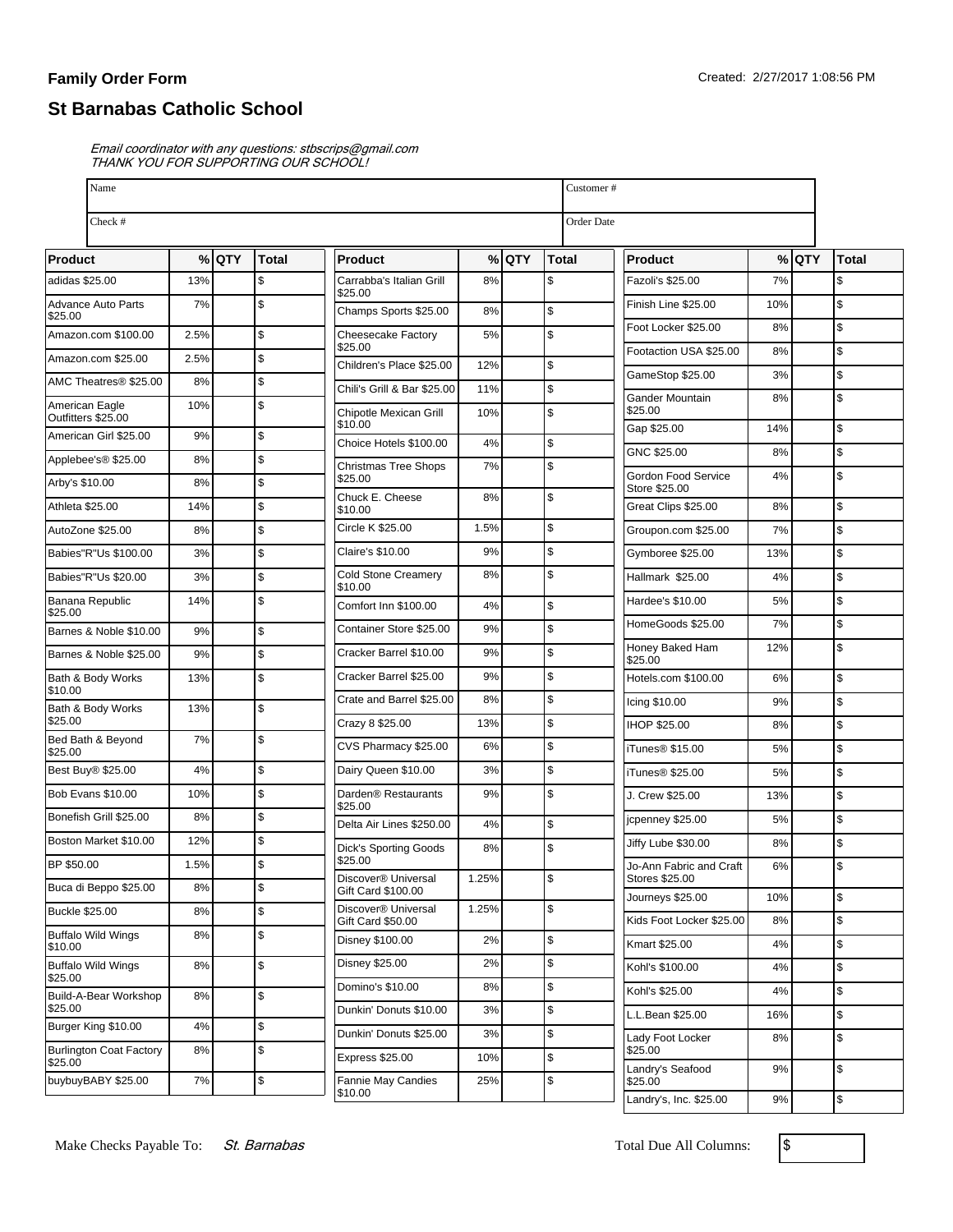## **Family Order Form**

## **St Barnabas Catholic School**

Email coordinator with any questions: stbscrips@gmail.com THANK YOU FOR SUPPORTING OUR SCHOOL!

| Check #<br>Order Date<br>% QTY<br>$%$ QTY<br>Total<br>$%$ QTY<br><b>Total</b><br>Total<br><b>Product</b><br><b>Product</b><br>adidas \$25.00<br>13%<br>\$<br>Carrabba's Italian Grill<br>8%<br>\$<br>Fazoli's \$25.00<br>7%<br>\$<br>\$25.00<br>\$<br><b>S</b><br>7%<br>Finish Line \$25.00<br>10%<br><b>Advance Auto Parts</b><br>\$<br>Champs Sports \$25.00<br>8%<br>\$25.00<br>$\mathfrak s$<br>Foot Locker \$25.00<br>8%<br>\$<br>\$<br>Amazon.com \$100.00<br>2.5%<br>Cheesecake Factory<br>5%<br>\$25.00<br>$\mathsf{\$}$<br>Footaction USA \$25.00<br>8%<br>\$<br>Amazon.com \$25.00<br>2.5%<br>\$<br>Children's Place \$25.00<br>12%<br>\$<br>GameStop \$25.00<br>3%<br>\$<br>AMC Theatres <sup>®</sup> \$25.00<br>8%<br>\$<br>Chili's Grill & Bar \$25.00<br>11%<br>\$<br>Gander Mountain<br>8%<br>\$<br>10%<br>American Eagle<br>\$25.00<br>\$<br>Chipotle Mexican Grill<br>10%<br>Outfitters \$25.00<br>\$10.00<br>$\mathfrak s$<br>Gap \$25.00<br>14%<br>\$<br>American Girl \$25.00<br>9%<br>Choice Hotels \$100.00<br>\$<br>4%<br>$\mathsf{\$}$<br>GNC \$25.00<br>8%<br>\$<br>8%<br>Applebee's® \$25.00<br>\$<br>7%<br><b>Christmas Tree Shops</b><br>\$<br>Gordon Food Service<br>4%<br>\$25.00<br>\$<br>8%<br>Store \$25.00<br>\$<br>Chuck E. Cheese<br>8%<br>\$<br>\$<br>Athleta \$25.00<br>14%<br>Great Clips \$25.00<br>8%<br>\$10.00<br>\$<br>Circle K \$25.00<br>1.5%<br>\$<br>$\mathsf{\$}$<br>8%<br>7%<br>AutoZone \$25.00<br>Groupon.com \$25.00<br>\$<br>Claire's \$10.00<br>9%<br>\$<br>\$<br>Babies"R"Us \$100.00<br>3%<br>Gymboree \$25.00<br>13%<br>\$<br><b>Cold Stone Creamery</b><br>8%<br>\$<br>$\mathsf{\$}$<br>Babies"R"Us \$20.00<br>3%<br>Hallmark \$25.00<br>4%<br>\$10.00<br>\$<br>$\mathsf{\$}$<br>14%<br>Hardee's \$10.00<br>5%<br>Banana Republic<br>\$<br>Comfort Inn \$100.00<br>4%<br>\$25.00<br>$\mathsf{\$}$<br>HomeGoods \$25.00<br>7%<br>\$<br>Container Store \$25.00<br>9%<br>\$<br>Barnes & Noble \$10.00<br>9%<br>\$<br>Honey Baked Ham<br>12%<br>\$<br>Cracker Barrel \$10.00<br>9%<br>9%<br>\$<br>\$25.00<br>\$<br>Cracker Barrel \$25.00<br>9%<br>\$<br>\$<br>Bath & Body Works<br>13%<br>Hotels.com \$100.00<br>6%<br>\$10.00<br>\$<br>Crate and Barrel \$25.00<br>8%<br>\$<br>9%<br>Icing \$10.00<br>\$<br>Bath & Body Works<br>13%<br>\$25.00<br>\$<br>Crazy 8 \$25.00<br>13%<br>$\mathsf{\$}$<br>IHOP \$25.00<br>8%<br>\$<br>Bed Bath & Beyond<br>7%<br>\$<br>CVS Pharmacy \$25.00<br>6%<br>\$<br>iTunes <sup>®</sup> \$15.00<br>5%<br>\$25.00<br>\$<br>\$<br>4%<br>Dairy Queen \$10.00<br>3%<br>$\mathsf{\$}$<br>iTunes <sup>®</sup> \$25.00<br>5%<br>\$<br>\$<br><b>Bob Evans \$10.00</b><br>10%<br>Darden <sup>®</sup> Restaurants<br>9%<br>\$<br>J. Crew \$25.00<br>13%<br>\$25.00<br>\$<br>Bonefish Grill \$25.00<br>8%<br>$\mathsf{\$}$<br>5%<br>jcpenney \$25.00<br>\$<br>Delta Air Lines \$250.00<br>4%<br>\$<br>12%<br>Boston Market \$10.00<br>\$<br>Jiffy Lube \$30.00<br>8%<br>\$<br>8%<br><b>Dick's Sporting Goods</b><br>\$25.00<br>\$<br>1.5%<br>\$<br>Jo-Ann Fabric and Craft<br>6%<br>$\mathfrak{s}$<br>Discover <sup>®</sup> Universal<br>1.25%<br>Stores \$25.00<br>8%<br>\$<br>Gift Card \$100.00<br>$\sqrt{3}$<br>Journeys \$25.00<br>10%<br>Discover <sup>®</sup> Universal<br>\$<br>1.25%<br>\$<br>8%<br>\$<br>Kids Foot Locker \$25.00<br>8%<br>Gift Card \$50.00<br>8%<br>\$<br>\$<br>Disney \$100.00<br>2%<br>\$<br>Kmart \$25.00<br>4%<br>\$10.00<br>\$<br>Disney \$25.00<br>2%<br>\$<br><b>Buffalo Wild Wings</b><br>8%<br>\$<br>4%<br>Kohl's \$100.00<br>\$25.00<br>\$<br>8%<br>Domino's \$10.00<br>\$<br>Kohl's \$25.00<br>4%<br>\$<br>8%<br>\$25.00<br>\$<br>3%<br>Dunkin' Donuts \$10.00<br>\$<br>L.L.Bean \$25.00<br>16%<br>\$<br>Burger King \$10.00<br>4%<br>\$<br>Dunkin' Donuts \$25.00<br>3%<br>\$<br>Lady Foot Locker<br>8%<br>\$<br><b>Burlington Coat Factory</b><br>8%<br>\$25.00<br>\$<br><b>Express \$25.00</b><br>10%<br>\$25.00<br>$\mathfrak s$<br>Landry's Seafood<br>9%<br>\$<br>7%<br>\$<br>buybuyBABY \$25.00<br>Fannie May Candies<br>25%<br>\$25.00 | Name                      |  |  |  |         |  |  |  | Customer #             |    |  |    |  |
|-----------------------------------------------------------------------------------------------------------------------------------------------------------------------------------------------------------------------------------------------------------------------------------------------------------------------------------------------------------------------------------------------------------------------------------------------------------------------------------------------------------------------------------------------------------------------------------------------------------------------------------------------------------------------------------------------------------------------------------------------------------------------------------------------------------------------------------------------------------------------------------------------------------------------------------------------------------------------------------------------------------------------------------------------------------------------------------------------------------------------------------------------------------------------------------------------------------------------------------------------------------------------------------------------------------------------------------------------------------------------------------------------------------------------------------------------------------------------------------------------------------------------------------------------------------------------------------------------------------------------------------------------------------------------------------------------------------------------------------------------------------------------------------------------------------------------------------------------------------------------------------------------------------------------------------------------------------------------------------------------------------------------------------------------------------------------------------------------------------------------------------------------------------------------------------------------------------------------------------------------------------------------------------------------------------------------------------------------------------------------------------------------------------------------------------------------------------------------------------------------------------------------------------------------------------------------------------------------------------------------------------------------------------------------------------------------------------------------------------------------------------------------------------------------------------------------------------------------------------------------------------------------------------------------------------------------------------------------------------------------------------------------------------------------------------------------------------------------------------------------------------------------------------------------------------------------------------------------------------------------------------------------------------------------------------------------------------------------------------------------------------------------------------------------------------------------------------------------------------------------------------------------------------------------------------------------------------------------------------------------------------------------------------------------------------------------------------------------------------------------------------------------------------------------------------------------------------------------------------------------------------------------------------------------------------------------------------------------------------------------------------------------------------------------------------------------|---------------------------|--|--|--|---------|--|--|--|------------------------|----|--|----|--|
|                                                                                                                                                                                                                                                                                                                                                                                                                                                                                                                                                                                                                                                                                                                                                                                                                                                                                                                                                                                                                                                                                                                                                                                                                                                                                                                                                                                                                                                                                                                                                                                                                                                                                                                                                                                                                                                                                                                                                                                                                                                                                                                                                                                                                                                                                                                                                                                                                                                                                                                                                                                                                                                                                                                                                                                                                                                                                                                                                                                                                                                                                                                                                                                                                                                                                                                                                                                                                                                                                                                                                                                                                                                                                                                                                                                                                                                                                                                                                                                                                                                                       |                           |  |  |  |         |  |  |  |                        |    |  |    |  |
|                                                                                                                                                                                                                                                                                                                                                                                                                                                                                                                                                                                                                                                                                                                                                                                                                                                                                                                                                                                                                                                                                                                                                                                                                                                                                                                                                                                                                                                                                                                                                                                                                                                                                                                                                                                                                                                                                                                                                                                                                                                                                                                                                                                                                                                                                                                                                                                                                                                                                                                                                                                                                                                                                                                                                                                                                                                                                                                                                                                                                                                                                                                                                                                                                                                                                                                                                                                                                                                                                                                                                                                                                                                                                                                                                                                                                                                                                                                                                                                                                                                                       | Product                   |  |  |  |         |  |  |  |                        |    |  |    |  |
|                                                                                                                                                                                                                                                                                                                                                                                                                                                                                                                                                                                                                                                                                                                                                                                                                                                                                                                                                                                                                                                                                                                                                                                                                                                                                                                                                                                                                                                                                                                                                                                                                                                                                                                                                                                                                                                                                                                                                                                                                                                                                                                                                                                                                                                                                                                                                                                                                                                                                                                                                                                                                                                                                                                                                                                                                                                                                                                                                                                                                                                                                                                                                                                                                                                                                                                                                                                                                                                                                                                                                                                                                                                                                                                                                                                                                                                                                                                                                                                                                                                                       |                           |  |  |  |         |  |  |  |                        |    |  |    |  |
|                                                                                                                                                                                                                                                                                                                                                                                                                                                                                                                                                                                                                                                                                                                                                                                                                                                                                                                                                                                                                                                                                                                                                                                                                                                                                                                                                                                                                                                                                                                                                                                                                                                                                                                                                                                                                                                                                                                                                                                                                                                                                                                                                                                                                                                                                                                                                                                                                                                                                                                                                                                                                                                                                                                                                                                                                                                                                                                                                                                                                                                                                                                                                                                                                                                                                                                                                                                                                                                                                                                                                                                                                                                                                                                                                                                                                                                                                                                                                                                                                                                                       |                           |  |  |  |         |  |  |  |                        |    |  |    |  |
|                                                                                                                                                                                                                                                                                                                                                                                                                                                                                                                                                                                                                                                                                                                                                                                                                                                                                                                                                                                                                                                                                                                                                                                                                                                                                                                                                                                                                                                                                                                                                                                                                                                                                                                                                                                                                                                                                                                                                                                                                                                                                                                                                                                                                                                                                                                                                                                                                                                                                                                                                                                                                                                                                                                                                                                                                                                                                                                                                                                                                                                                                                                                                                                                                                                                                                                                                                                                                                                                                                                                                                                                                                                                                                                                                                                                                                                                                                                                                                                                                                                                       |                           |  |  |  |         |  |  |  |                        |    |  |    |  |
|                                                                                                                                                                                                                                                                                                                                                                                                                                                                                                                                                                                                                                                                                                                                                                                                                                                                                                                                                                                                                                                                                                                                                                                                                                                                                                                                                                                                                                                                                                                                                                                                                                                                                                                                                                                                                                                                                                                                                                                                                                                                                                                                                                                                                                                                                                                                                                                                                                                                                                                                                                                                                                                                                                                                                                                                                                                                                                                                                                                                                                                                                                                                                                                                                                                                                                                                                                                                                                                                                                                                                                                                                                                                                                                                                                                                                                                                                                                                                                                                                                                                       |                           |  |  |  |         |  |  |  |                        |    |  |    |  |
|                                                                                                                                                                                                                                                                                                                                                                                                                                                                                                                                                                                                                                                                                                                                                                                                                                                                                                                                                                                                                                                                                                                                                                                                                                                                                                                                                                                                                                                                                                                                                                                                                                                                                                                                                                                                                                                                                                                                                                                                                                                                                                                                                                                                                                                                                                                                                                                                                                                                                                                                                                                                                                                                                                                                                                                                                                                                                                                                                                                                                                                                                                                                                                                                                                                                                                                                                                                                                                                                                                                                                                                                                                                                                                                                                                                                                                                                                                                                                                                                                                                                       |                           |  |  |  |         |  |  |  |                        |    |  |    |  |
|                                                                                                                                                                                                                                                                                                                                                                                                                                                                                                                                                                                                                                                                                                                                                                                                                                                                                                                                                                                                                                                                                                                                                                                                                                                                                                                                                                                                                                                                                                                                                                                                                                                                                                                                                                                                                                                                                                                                                                                                                                                                                                                                                                                                                                                                                                                                                                                                                                                                                                                                                                                                                                                                                                                                                                                                                                                                                                                                                                                                                                                                                                                                                                                                                                                                                                                                                                                                                                                                                                                                                                                                                                                                                                                                                                                                                                                                                                                                                                                                                                                                       |                           |  |  |  |         |  |  |  |                        |    |  |    |  |
|                                                                                                                                                                                                                                                                                                                                                                                                                                                                                                                                                                                                                                                                                                                                                                                                                                                                                                                                                                                                                                                                                                                                                                                                                                                                                                                                                                                                                                                                                                                                                                                                                                                                                                                                                                                                                                                                                                                                                                                                                                                                                                                                                                                                                                                                                                                                                                                                                                                                                                                                                                                                                                                                                                                                                                                                                                                                                                                                                                                                                                                                                                                                                                                                                                                                                                                                                                                                                                                                                                                                                                                                                                                                                                                                                                                                                                                                                                                                                                                                                                                                       |                           |  |  |  |         |  |  |  |                        |    |  |    |  |
|                                                                                                                                                                                                                                                                                                                                                                                                                                                                                                                                                                                                                                                                                                                                                                                                                                                                                                                                                                                                                                                                                                                                                                                                                                                                                                                                                                                                                                                                                                                                                                                                                                                                                                                                                                                                                                                                                                                                                                                                                                                                                                                                                                                                                                                                                                                                                                                                                                                                                                                                                                                                                                                                                                                                                                                                                                                                                                                                                                                                                                                                                                                                                                                                                                                                                                                                                                                                                                                                                                                                                                                                                                                                                                                                                                                                                                                                                                                                                                                                                                                                       |                           |  |  |  |         |  |  |  |                        |    |  |    |  |
|                                                                                                                                                                                                                                                                                                                                                                                                                                                                                                                                                                                                                                                                                                                                                                                                                                                                                                                                                                                                                                                                                                                                                                                                                                                                                                                                                                                                                                                                                                                                                                                                                                                                                                                                                                                                                                                                                                                                                                                                                                                                                                                                                                                                                                                                                                                                                                                                                                                                                                                                                                                                                                                                                                                                                                                                                                                                                                                                                                                                                                                                                                                                                                                                                                                                                                                                                                                                                                                                                                                                                                                                                                                                                                                                                                                                                                                                                                                                                                                                                                                                       |                           |  |  |  |         |  |  |  |                        |    |  |    |  |
|                                                                                                                                                                                                                                                                                                                                                                                                                                                                                                                                                                                                                                                                                                                                                                                                                                                                                                                                                                                                                                                                                                                                                                                                                                                                                                                                                                                                                                                                                                                                                                                                                                                                                                                                                                                                                                                                                                                                                                                                                                                                                                                                                                                                                                                                                                                                                                                                                                                                                                                                                                                                                                                                                                                                                                                                                                                                                                                                                                                                                                                                                                                                                                                                                                                                                                                                                                                                                                                                                                                                                                                                                                                                                                                                                                                                                                                                                                                                                                                                                                                                       | Arby's \$10.00            |  |  |  |         |  |  |  |                        |    |  |    |  |
|                                                                                                                                                                                                                                                                                                                                                                                                                                                                                                                                                                                                                                                                                                                                                                                                                                                                                                                                                                                                                                                                                                                                                                                                                                                                                                                                                                                                                                                                                                                                                                                                                                                                                                                                                                                                                                                                                                                                                                                                                                                                                                                                                                                                                                                                                                                                                                                                                                                                                                                                                                                                                                                                                                                                                                                                                                                                                                                                                                                                                                                                                                                                                                                                                                                                                                                                                                                                                                                                                                                                                                                                                                                                                                                                                                                                                                                                                                                                                                                                                                                                       |                           |  |  |  |         |  |  |  |                        |    |  |    |  |
|                                                                                                                                                                                                                                                                                                                                                                                                                                                                                                                                                                                                                                                                                                                                                                                                                                                                                                                                                                                                                                                                                                                                                                                                                                                                                                                                                                                                                                                                                                                                                                                                                                                                                                                                                                                                                                                                                                                                                                                                                                                                                                                                                                                                                                                                                                                                                                                                                                                                                                                                                                                                                                                                                                                                                                                                                                                                                                                                                                                                                                                                                                                                                                                                                                                                                                                                                                                                                                                                                                                                                                                                                                                                                                                                                                                                                                                                                                                                                                                                                                                                       |                           |  |  |  |         |  |  |  |                        |    |  |    |  |
|                                                                                                                                                                                                                                                                                                                                                                                                                                                                                                                                                                                                                                                                                                                                                                                                                                                                                                                                                                                                                                                                                                                                                                                                                                                                                                                                                                                                                                                                                                                                                                                                                                                                                                                                                                                                                                                                                                                                                                                                                                                                                                                                                                                                                                                                                                                                                                                                                                                                                                                                                                                                                                                                                                                                                                                                                                                                                                                                                                                                                                                                                                                                                                                                                                                                                                                                                                                                                                                                                                                                                                                                                                                                                                                                                                                                                                                                                                                                                                                                                                                                       |                           |  |  |  |         |  |  |  |                        |    |  |    |  |
|                                                                                                                                                                                                                                                                                                                                                                                                                                                                                                                                                                                                                                                                                                                                                                                                                                                                                                                                                                                                                                                                                                                                                                                                                                                                                                                                                                                                                                                                                                                                                                                                                                                                                                                                                                                                                                                                                                                                                                                                                                                                                                                                                                                                                                                                                                                                                                                                                                                                                                                                                                                                                                                                                                                                                                                                                                                                                                                                                                                                                                                                                                                                                                                                                                                                                                                                                                                                                                                                                                                                                                                                                                                                                                                                                                                                                                                                                                                                                                                                                                                                       |                           |  |  |  |         |  |  |  |                        |    |  |    |  |
|                                                                                                                                                                                                                                                                                                                                                                                                                                                                                                                                                                                                                                                                                                                                                                                                                                                                                                                                                                                                                                                                                                                                                                                                                                                                                                                                                                                                                                                                                                                                                                                                                                                                                                                                                                                                                                                                                                                                                                                                                                                                                                                                                                                                                                                                                                                                                                                                                                                                                                                                                                                                                                                                                                                                                                                                                                                                                                                                                                                                                                                                                                                                                                                                                                                                                                                                                                                                                                                                                                                                                                                                                                                                                                                                                                                                                                                                                                                                                                                                                                                                       |                           |  |  |  |         |  |  |  |                        |    |  |    |  |
|                                                                                                                                                                                                                                                                                                                                                                                                                                                                                                                                                                                                                                                                                                                                                                                                                                                                                                                                                                                                                                                                                                                                                                                                                                                                                                                                                                                                                                                                                                                                                                                                                                                                                                                                                                                                                                                                                                                                                                                                                                                                                                                                                                                                                                                                                                                                                                                                                                                                                                                                                                                                                                                                                                                                                                                                                                                                                                                                                                                                                                                                                                                                                                                                                                                                                                                                                                                                                                                                                                                                                                                                                                                                                                                                                                                                                                                                                                                                                                                                                                                                       |                           |  |  |  |         |  |  |  |                        |    |  |    |  |
|                                                                                                                                                                                                                                                                                                                                                                                                                                                                                                                                                                                                                                                                                                                                                                                                                                                                                                                                                                                                                                                                                                                                                                                                                                                                                                                                                                                                                                                                                                                                                                                                                                                                                                                                                                                                                                                                                                                                                                                                                                                                                                                                                                                                                                                                                                                                                                                                                                                                                                                                                                                                                                                                                                                                                                                                                                                                                                                                                                                                                                                                                                                                                                                                                                                                                                                                                                                                                                                                                                                                                                                                                                                                                                                                                                                                                                                                                                                                                                                                                                                                       | Barnes & Noble \$25.00    |  |  |  |         |  |  |  |                        |    |  |    |  |
|                                                                                                                                                                                                                                                                                                                                                                                                                                                                                                                                                                                                                                                                                                                                                                                                                                                                                                                                                                                                                                                                                                                                                                                                                                                                                                                                                                                                                                                                                                                                                                                                                                                                                                                                                                                                                                                                                                                                                                                                                                                                                                                                                                                                                                                                                                                                                                                                                                                                                                                                                                                                                                                                                                                                                                                                                                                                                                                                                                                                                                                                                                                                                                                                                                                                                                                                                                                                                                                                                                                                                                                                                                                                                                                                                                                                                                                                                                                                                                                                                                                                       |                           |  |  |  |         |  |  |  |                        |    |  |    |  |
|                                                                                                                                                                                                                                                                                                                                                                                                                                                                                                                                                                                                                                                                                                                                                                                                                                                                                                                                                                                                                                                                                                                                                                                                                                                                                                                                                                                                                                                                                                                                                                                                                                                                                                                                                                                                                                                                                                                                                                                                                                                                                                                                                                                                                                                                                                                                                                                                                                                                                                                                                                                                                                                                                                                                                                                                                                                                                                                                                                                                                                                                                                                                                                                                                                                                                                                                                                                                                                                                                                                                                                                                                                                                                                                                                                                                                                                                                                                                                                                                                                                                       |                           |  |  |  |         |  |  |  |                        |    |  |    |  |
|                                                                                                                                                                                                                                                                                                                                                                                                                                                                                                                                                                                                                                                                                                                                                                                                                                                                                                                                                                                                                                                                                                                                                                                                                                                                                                                                                                                                                                                                                                                                                                                                                                                                                                                                                                                                                                                                                                                                                                                                                                                                                                                                                                                                                                                                                                                                                                                                                                                                                                                                                                                                                                                                                                                                                                                                                                                                                                                                                                                                                                                                                                                                                                                                                                                                                                                                                                                                                                                                                                                                                                                                                                                                                                                                                                                                                                                                                                                                                                                                                                                                       |                           |  |  |  |         |  |  |  |                        |    |  |    |  |
|                                                                                                                                                                                                                                                                                                                                                                                                                                                                                                                                                                                                                                                                                                                                                                                                                                                                                                                                                                                                                                                                                                                                                                                                                                                                                                                                                                                                                                                                                                                                                                                                                                                                                                                                                                                                                                                                                                                                                                                                                                                                                                                                                                                                                                                                                                                                                                                                                                                                                                                                                                                                                                                                                                                                                                                                                                                                                                                                                                                                                                                                                                                                                                                                                                                                                                                                                                                                                                                                                                                                                                                                                                                                                                                                                                                                                                                                                                                                                                                                                                                                       |                           |  |  |  |         |  |  |  |                        |    |  |    |  |
|                                                                                                                                                                                                                                                                                                                                                                                                                                                                                                                                                                                                                                                                                                                                                                                                                                                                                                                                                                                                                                                                                                                                                                                                                                                                                                                                                                                                                                                                                                                                                                                                                                                                                                                                                                                                                                                                                                                                                                                                                                                                                                                                                                                                                                                                                                                                                                                                                                                                                                                                                                                                                                                                                                                                                                                                                                                                                                                                                                                                                                                                                                                                                                                                                                                                                                                                                                                                                                                                                                                                                                                                                                                                                                                                                                                                                                                                                                                                                                                                                                                                       | Best Buy® \$25.00         |  |  |  |         |  |  |  |                        |    |  |    |  |
|                                                                                                                                                                                                                                                                                                                                                                                                                                                                                                                                                                                                                                                                                                                                                                                                                                                                                                                                                                                                                                                                                                                                                                                                                                                                                                                                                                                                                                                                                                                                                                                                                                                                                                                                                                                                                                                                                                                                                                                                                                                                                                                                                                                                                                                                                                                                                                                                                                                                                                                                                                                                                                                                                                                                                                                                                                                                                                                                                                                                                                                                                                                                                                                                                                                                                                                                                                                                                                                                                                                                                                                                                                                                                                                                                                                                                                                                                                                                                                                                                                                                       |                           |  |  |  |         |  |  |  |                        |    |  |    |  |
|                                                                                                                                                                                                                                                                                                                                                                                                                                                                                                                                                                                                                                                                                                                                                                                                                                                                                                                                                                                                                                                                                                                                                                                                                                                                                                                                                                                                                                                                                                                                                                                                                                                                                                                                                                                                                                                                                                                                                                                                                                                                                                                                                                                                                                                                                                                                                                                                                                                                                                                                                                                                                                                                                                                                                                                                                                                                                                                                                                                                                                                                                                                                                                                                                                                                                                                                                                                                                                                                                                                                                                                                                                                                                                                                                                                                                                                                                                                                                                                                                                                                       |                           |  |  |  |         |  |  |  |                        |    |  |    |  |
|                                                                                                                                                                                                                                                                                                                                                                                                                                                                                                                                                                                                                                                                                                                                                                                                                                                                                                                                                                                                                                                                                                                                                                                                                                                                                                                                                                                                                                                                                                                                                                                                                                                                                                                                                                                                                                                                                                                                                                                                                                                                                                                                                                                                                                                                                                                                                                                                                                                                                                                                                                                                                                                                                                                                                                                                                                                                                                                                                                                                                                                                                                                                                                                                                                                                                                                                                                                                                                                                                                                                                                                                                                                                                                                                                                                                                                                                                                                                                                                                                                                                       |                           |  |  |  |         |  |  |  |                        |    |  |    |  |
|                                                                                                                                                                                                                                                                                                                                                                                                                                                                                                                                                                                                                                                                                                                                                                                                                                                                                                                                                                                                                                                                                                                                                                                                                                                                                                                                                                                                                                                                                                                                                                                                                                                                                                                                                                                                                                                                                                                                                                                                                                                                                                                                                                                                                                                                                                                                                                                                                                                                                                                                                                                                                                                                                                                                                                                                                                                                                                                                                                                                                                                                                                                                                                                                                                                                                                                                                                                                                                                                                                                                                                                                                                                                                                                                                                                                                                                                                                                                                                                                                                                                       | BP \$50.00                |  |  |  |         |  |  |  |                        |    |  |    |  |
|                                                                                                                                                                                                                                                                                                                                                                                                                                                                                                                                                                                                                                                                                                                                                                                                                                                                                                                                                                                                                                                                                                                                                                                                                                                                                                                                                                                                                                                                                                                                                                                                                                                                                                                                                                                                                                                                                                                                                                                                                                                                                                                                                                                                                                                                                                                                                                                                                                                                                                                                                                                                                                                                                                                                                                                                                                                                                                                                                                                                                                                                                                                                                                                                                                                                                                                                                                                                                                                                                                                                                                                                                                                                                                                                                                                                                                                                                                                                                                                                                                                                       | Buca di Beppo \$25.00     |  |  |  |         |  |  |  |                        |    |  |    |  |
|                                                                                                                                                                                                                                                                                                                                                                                                                                                                                                                                                                                                                                                                                                                                                                                                                                                                                                                                                                                                                                                                                                                                                                                                                                                                                                                                                                                                                                                                                                                                                                                                                                                                                                                                                                                                                                                                                                                                                                                                                                                                                                                                                                                                                                                                                                                                                                                                                                                                                                                                                                                                                                                                                                                                                                                                                                                                                                                                                                                                                                                                                                                                                                                                                                                                                                                                                                                                                                                                                                                                                                                                                                                                                                                                                                                                                                                                                                                                                                                                                                                                       | <b>Buckle \$25.00</b>     |  |  |  |         |  |  |  |                        |    |  |    |  |
|                                                                                                                                                                                                                                                                                                                                                                                                                                                                                                                                                                                                                                                                                                                                                                                                                                                                                                                                                                                                                                                                                                                                                                                                                                                                                                                                                                                                                                                                                                                                                                                                                                                                                                                                                                                                                                                                                                                                                                                                                                                                                                                                                                                                                                                                                                                                                                                                                                                                                                                                                                                                                                                                                                                                                                                                                                                                                                                                                                                                                                                                                                                                                                                                                                                                                                                                                                                                                                                                                                                                                                                                                                                                                                                                                                                                                                                                                                                                                                                                                                                                       | <b>Buffalo Wild Wings</b> |  |  |  |         |  |  |  |                        |    |  |    |  |
|                                                                                                                                                                                                                                                                                                                                                                                                                                                                                                                                                                                                                                                                                                                                                                                                                                                                                                                                                                                                                                                                                                                                                                                                                                                                                                                                                                                                                                                                                                                                                                                                                                                                                                                                                                                                                                                                                                                                                                                                                                                                                                                                                                                                                                                                                                                                                                                                                                                                                                                                                                                                                                                                                                                                                                                                                                                                                                                                                                                                                                                                                                                                                                                                                                                                                                                                                                                                                                                                                                                                                                                                                                                                                                                                                                                                                                                                                                                                                                                                                                                                       |                           |  |  |  |         |  |  |  |                        |    |  |    |  |
|                                                                                                                                                                                                                                                                                                                                                                                                                                                                                                                                                                                                                                                                                                                                                                                                                                                                                                                                                                                                                                                                                                                                                                                                                                                                                                                                                                                                                                                                                                                                                                                                                                                                                                                                                                                                                                                                                                                                                                                                                                                                                                                                                                                                                                                                                                                                                                                                                                                                                                                                                                                                                                                                                                                                                                                                                                                                                                                                                                                                                                                                                                                                                                                                                                                                                                                                                                                                                                                                                                                                                                                                                                                                                                                                                                                                                                                                                                                                                                                                                                                                       | Build-A-Bear Workshop     |  |  |  |         |  |  |  |                        |    |  |    |  |
|                                                                                                                                                                                                                                                                                                                                                                                                                                                                                                                                                                                                                                                                                                                                                                                                                                                                                                                                                                                                                                                                                                                                                                                                                                                                                                                                                                                                                                                                                                                                                                                                                                                                                                                                                                                                                                                                                                                                                                                                                                                                                                                                                                                                                                                                                                                                                                                                                                                                                                                                                                                                                                                                                                                                                                                                                                                                                                                                                                                                                                                                                                                                                                                                                                                                                                                                                                                                                                                                                                                                                                                                                                                                                                                                                                                                                                                                                                                                                                                                                                                                       |                           |  |  |  |         |  |  |  |                        |    |  |    |  |
|                                                                                                                                                                                                                                                                                                                                                                                                                                                                                                                                                                                                                                                                                                                                                                                                                                                                                                                                                                                                                                                                                                                                                                                                                                                                                                                                                                                                                                                                                                                                                                                                                                                                                                                                                                                                                                                                                                                                                                                                                                                                                                                                                                                                                                                                                                                                                                                                                                                                                                                                                                                                                                                                                                                                                                                                                                                                                                                                                                                                                                                                                                                                                                                                                                                                                                                                                                                                                                                                                                                                                                                                                                                                                                                                                                                                                                                                                                                                                                                                                                                                       |                           |  |  |  |         |  |  |  |                        |    |  |    |  |
|                                                                                                                                                                                                                                                                                                                                                                                                                                                                                                                                                                                                                                                                                                                                                                                                                                                                                                                                                                                                                                                                                                                                                                                                                                                                                                                                                                                                                                                                                                                                                                                                                                                                                                                                                                                                                                                                                                                                                                                                                                                                                                                                                                                                                                                                                                                                                                                                                                                                                                                                                                                                                                                                                                                                                                                                                                                                                                                                                                                                                                                                                                                                                                                                                                                                                                                                                                                                                                                                                                                                                                                                                                                                                                                                                                                                                                                                                                                                                                                                                                                                       |                           |  |  |  |         |  |  |  |                        |    |  |    |  |
|                                                                                                                                                                                                                                                                                                                                                                                                                                                                                                                                                                                                                                                                                                                                                                                                                                                                                                                                                                                                                                                                                                                                                                                                                                                                                                                                                                                                                                                                                                                                                                                                                                                                                                                                                                                                                                                                                                                                                                                                                                                                                                                                                                                                                                                                                                                                                                                                                                                                                                                                                                                                                                                                                                                                                                                                                                                                                                                                                                                                                                                                                                                                                                                                                                                                                                                                                                                                                                                                                                                                                                                                                                                                                                                                                                                                                                                                                                                                                                                                                                                                       |                           |  |  |  | \$10.00 |  |  |  | Landry's, Inc. \$25.00 | 9% |  | \$ |  |